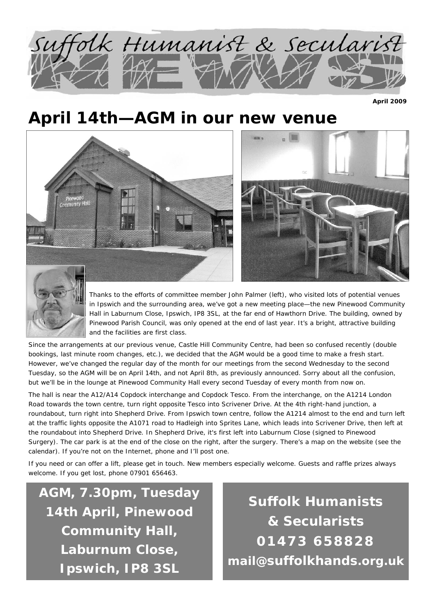

**April 2009** 

## **April 14th—AGM in our new venue**







Thanks to the efforts of committee member John Palmer (left), who visited lots of potential venues in Ipswich and the surrounding area, we've got a new meeting place—the new Pinewood Community Hall in Laburnum Close, Ipswich, IP8 3SL, at the far end of Hawthorn Drive. The building, owned by Pinewood Parish Council, was only opened at the end of last year. It's a bright, attractive building and the facilities are first class.

Since the arrangements at our previous venue, Castle Hill Community Centre, had been so confused recently (double bookings, last minute room changes, etc.), we decided that the AGM would be a good time to make a fresh start. However, we've changed the regular day of the month for our meetings from the second Wednesday to the second Tuesday, so the AGM will be on April 14th, and not April 8th, as previously announced. Sorry about all the confusion, but we'll be in the lounge at Pinewood Community Hall every second Tuesday of every month from now on.

The hall is near the A12/A14 Copdock interchange and Copdock Tesco. From the interchange, on the A1214 London Road towards the town centre, turn right opposite Tesco into Scrivener Drive. At the 4th right-hand junction, a roundabout, turn right into Shepherd Drive. From Ipswich town centre, follow the A1214 almost to the end and turn left at the traffic lights opposite the A1071 road to Hadleigh into Sprites Lane, which leads into Scrivener Drive, then left at the roundabout into Shepherd Drive. In Shepherd Drive, it's first left into Laburnum Close (signed to Pinewood Surgery). The car park is at the end of the close on the right, after the surgery. There's a map on the website (see the calendar). If you're not on the Internet, phone and I'll post one.

If you need or can offer a lift, please get in touch. New members especially welcome. Guests and raffle prizes always welcome. If you get lost, phone 07901 656463.

**AGM, 7.30pm, Tuesday 14th April, Pinewood Community Hall, Laburnum Close, Ipswich, IP8 3SL** 

**Suffolk Humanists & Secularists 01473 658828 mail@suffolkhands.org.uk**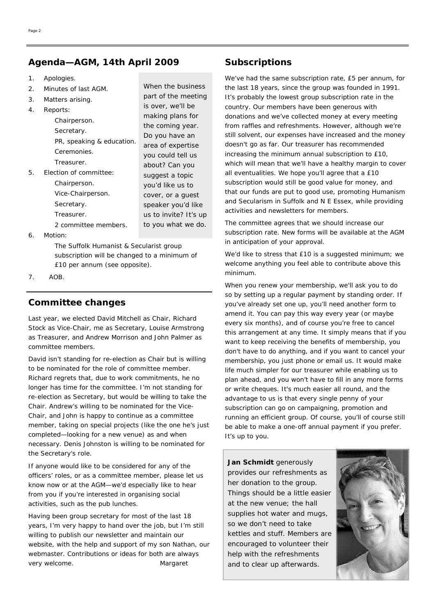#### **Agenda—AGM, 14th April 2009 Subscriptions**

- 1. Apologies.
- 2. Minutes of last AGM.
- 3. Matters arising.
- 4. Reports:

Chairperson. Secretary. PR, speaking & education. Ceremonies. Treasurer.

5. Election of committee: Chairperson. Vice-Chairperson. Secretary.

2 committee members.

Treasurer.

When the business part of the meeting is over, we'll be making plans for the coming year. Do you have an area of expertise you could tell us about? Can you suggest a topic you'd like us to cover, or a guest speaker you'd like us to invite? It's up to you what we do.

6. Motion:

The Suffolk Humanist & Secularist group subscription will be changed to a minimum of £10 per annum (see opposite).

7. AOB.

#### **Committee changes**

Last year, we elected David Mitchell as Chair, Richard Stock as Vice-Chair, me as Secretary, Louise Armstrong as Treasurer, and Andrew Morrison and John Palmer as committee members.

David isn't standing for re-election as Chair but is willing to be nominated for the role of committee member. Richard regrets that, due to work commitments, he no longer has time for the committee. I'm not standing for re-election as Secretary, but would be willing to take the Chair. Andrew's willing to be nominated for the Vice-Chair, and John is happy to continue as a committee member, taking on special projects (like the one he's just completed—looking for a new venue) as and when necessary. Denis Johnston is willing to be nominated for the Secretary's role.

If anyone would like to be considered for any of the officers' roles, or as a committee member, please let us know now or at the AGM—we'd especially like to hear from you if you're interested in organising social activities, such as the pub lunches.

Having been group secretary for most of the last 18 years, I'm very happy to hand over the job, but I'm still willing to publish our newsletter and maintain our website, with the help and support of my son Nathan, our webmaster. Contributions or ideas for both are always very welcome. *Margaret* 

We've had the same subscription rate, £5 per annum, for the last 18 years, since the group was founded in 1991. It's probably the lowest group subscription rate in the country. Our members have been generous with donations and we've collected money at every meeting from raffles and refreshments. However, although we're still solvent, our expenses have increased and the money doesn't go as far. Our treasurer has recommended increasing the minimum annual subscription to £10, which will mean that we'll have a healthy margin to cover all eventualities. We hope you'll agree that a £10 subscription would still be good value for money, and that our funds are put to good use, promoting Humanism and Secularism in Suffolk and N E Essex, while providing activities and newsletters for members.

The committee agrees that we should increase our subscription rate. New forms will be available at the AGM in anticipation of your approval.

We'd like to stress that £10 is a suggested minimum; we welcome anything you feel able to contribute above this minimum.

When you renew your membership, we'll ask you to do so by setting up a regular payment by standing order. If you've already set one up, you'll need another form to amend it. You can pay this way every year (or maybe every six months), and of course you're free to cancel this arrangement at any time. It simply means that if you want to keep receiving the benefits of membership, you don't have to do anything, and if you want to cancel your membership, you just phone or email us. It would make life much simpler for our treasurer while enabling us to plan ahead, and you won't have to fill in any more forms or write cheques. It's much easier all round, and the advantage to us is that every single penny of your subscription can go on campaigning, promotion and running an efficient group. Of course, you'll of course still be able to make a one-off annual payment if you prefer. It's up to you.

**Jan Schmidt** generously provides our refreshments as her donation to the group. Things should be a little easier at the new venue; the hall supplies hot water and mugs, so we don't need to take kettles and stuff. Members are encouraged to volunteer their help with the refreshments and to clear up afterwards.

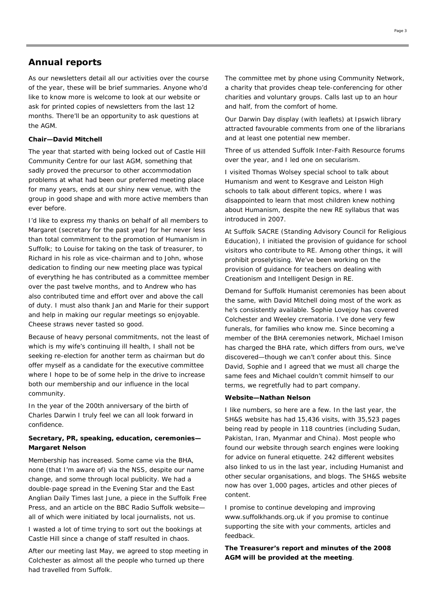#### **Annual reports**

As our newsletters detail all our activities over the course of the year, these will be brief summaries. Anyone who'd like to know more is welcome to look at our website or ask for printed copies of newsletters from the last 12 months. There'll be an opportunity to ask questions at the AGM.

#### **Chair—David Mitchell**

The year that started with being locked out of Castle Hill Community Centre for our last AGM, something that sadly proved the precursor to other accommodation problems at what had been our preferred meeting place for many years, ends at our shiny new venue, with the group in good shape and with more active members than ever before.

I'd like to express my thanks on behalf of all members to Margaret (secretary for the past year) for her never less than total commitment to the promotion of Humanism in Suffolk; to Louise for taking on the task of treasurer, to Richard in his role as vice-chairman and to John, whose dedication to finding our new meeting place was typical of everything he has contributed as a committee member over the past twelve months, and to Andrew who has also contributed time and effort over and above the call of duty. I must also thank Jan and Marie for their support and help in making our regular meetings so enjoyable. Cheese straws never tasted so good.

Because of heavy personal commitments, not the least of which is my wife's continuing ill health, I shall not be seeking re-election for another term as chairman but do offer myself as a candidate for the executive committee where I hope to be of some help in the drive to increase both our membership and our influence in the local community.

In the year of the 200th anniversary of the birth of Charles Darwin I truly feel we can all look forward in confidence.

#### **Secretary, PR, speaking, education, ceremonies— Margaret Nelson**

Membership has increased. Some came via the BHA, none (that I'm aware of) via the NSS, despite our name change, and some through local publicity. We had a double-page spread in the Evening Star and the East Anglian Daily Times last June, a piece in the Suffolk Free Press, and an article on the BBC Radio Suffolk website all of which were initiated by local journalists, not us.

I wasted a lot of time trying to sort out the bookings at Castle Hill since a change of staff resulted in chaos.

After our meeting last May, we agreed to stop meeting in Colchester as almost all the people who turned up there had travelled from Suffolk.

The committee met by phone using Community Network, a charity that provides cheap tele-conferencing for other charities and voluntary groups. Calls last up to an hour and half, from the comfort of home.

Our Darwin Day display (with leaflets) at Ipswich library attracted favourable comments from one of the librarians and at least one potential new member.

Three of us attended Suffolk Inter-Faith Resource forums over the year, and I led one on secularism.

I visited Thomas Wolsey special school to talk about Humanism and went to Kesgrave and Leiston High schools to talk about different topics, where I was disappointed to learn that most children knew nothing about Humanism, despite the new RE syllabus that was introduced in 2007.

At Suffolk SACRE (Standing Advisory Council for Religious Education), I initiated the provision of guidance for school visitors who contribute to RE. Among other things, it will prohibit proselytising. We've been working on the provision of guidance for teachers on dealing with Creationism and Intelligent Design in RE.

Demand for Suffolk Humanist ceremonies has been about the same, with David Mitchell doing most of the work as he's consistently available. Sophie Lovejoy has covered Colchester and Weeley crematoria. I've done very few funerals, for families who know me. Since becoming a member of the BHA ceremonies network, Michael Imison has charged the BHA rate, which differs from ours, we've discovered—though we can't confer about this. Since David, Sophie and I agreed that we must all charge the same fees and Michael couldn't commit himself to our terms, we regretfully had to part company.

#### **Website—Nathan Nelson**

I like numbers, so here are a few. In the last year, the SH&S website has had 15,436 visits, with 35,523 pages being read by people in 118 countries (including Sudan, Pakistan, Iran, Myanmar and China). Most people who found our website through search engines were looking for advice on funeral etiquette. 242 different websites also linked to us in the last year, including Humanist and other secular organisations, and blogs. The SH&S website now has over 1,000 pages, articles and other pieces of content.

I promise to continue developing and improving www.suffolkhands.org.uk if you promise to continue supporting the site with your comments, articles and feedback.

**The Treasurer's report and minutes of the 2008 AGM will be provided at the meeting**.